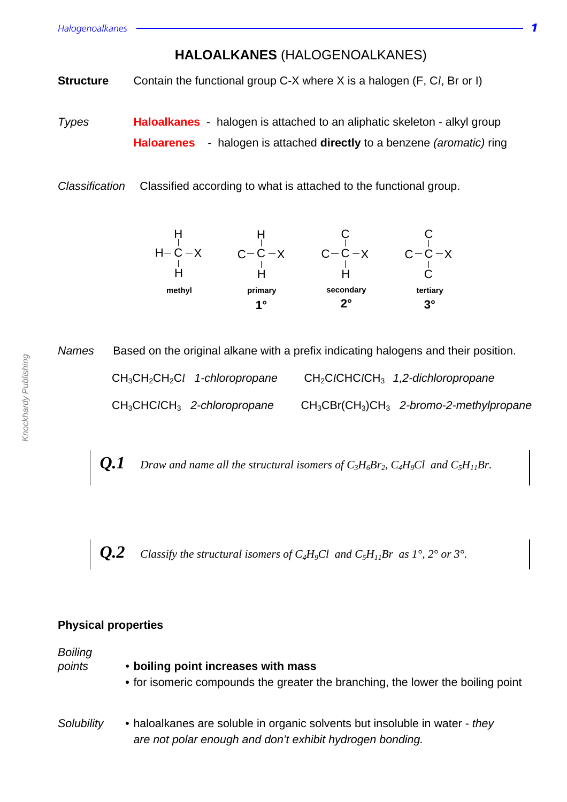**HALOALKANES** (HALOGENOALKANES)

**Structure** Contain the functional group C-X where X is a halogen (F, C*l*, Br or I)

Types **Haloalkanes** - halogen is attached to an aliphatic skeleton - alkyl group **Haloarenes** - halogen is attached **directly** to a benzene (aromatic) ring

Classification Classified according to what is attached to the functional group.



Names Based on the original alkane with a prefix indicating halogens and their position.

CH3CH2CH2C*l* 1-chloropropane CH2C*l*CHC*l*CH3 1,2-dichloropropane CH3CHC*l*CH<sup>3</sup> 2-chloropropane CH3CBr(CH3)CH<sup>3</sup> 2-bromo-2-methylpropane

 $Q.1$  *Draw and name all the structural isomers of*  $C_3H_6Br_2$ *,*  $C_4H_9Cl$  *and*  $C_5H_{11}Br$ *.* 

*Q.2 Classify the structural isomers of C<sub>4</sub>H<sub>9</sub>Cl and C<sub>5</sub>H<sub>11</sub>Br as 1°, 2° or 3°.* 

### **Physical properties**

**Boiling** 

points • **boiling point increases with mass**

- **•** for isomeric compounds the greater the branching, the lower the boiling point
- Solubility haloalkanes are soluble in organic solvents but insoluble in water they are not polar enough and don't exhibit hydrogen bonding.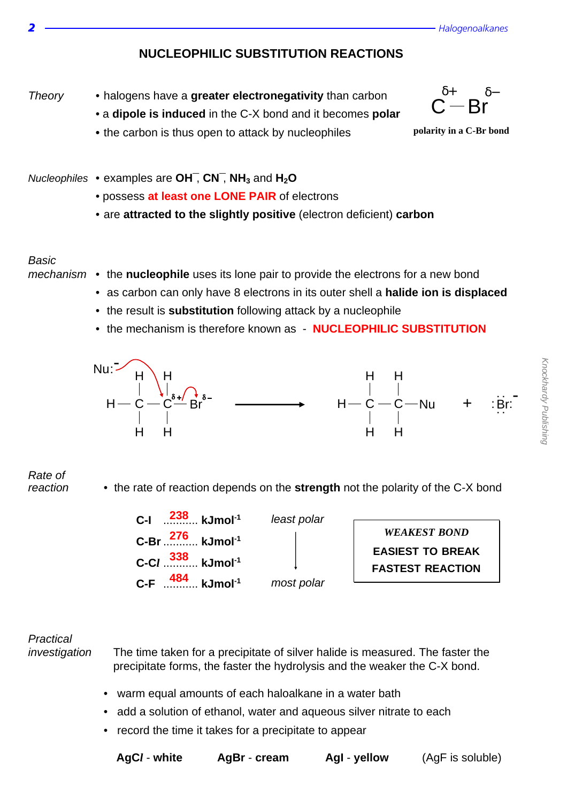



- a **dipole is induced** in the C-X bond and it becomes **polar**
- **•** the carbon is thus open to attack by nucleophiles



**polarity in a C-Br bond**

- Nucleophiles examples are **OH¯**, **CN¯**, **NH<sup>3</sup>** and **H2O**
	- possess **at least one LONE PAIR** of electrons
	- are **attracted to the slightly positive** (electron deficient) **carbon**

#### Basic

- mechanism the **nucleophile** uses its lone pair to provide the electrons for a new bond
	- as carbon can only have 8 electrons in its outer shell a **halide ion is displaced**
	- the result is **substitution** following attack by a nucleophile
	- the mechanism is therefore known as **NUCLEOPHILIC SUBSTITUTION**



## Rate of

reaction • the rate of reaction depends on the **strength** not the polarity of the C-X bond

| C-I $^{238}$ kJmol <sup>-1</sup>           | least polar |
|--------------------------------------------|-------------|
| C-Br $\frac{276}{100}$ kJmol <sup>-1</sup> |             |
| $C-Cl$ 338 kJmol <sup>-1</sup>             |             |
| $C-F$ $484$ kJmol <sup>-1</sup>            | most polar  |

*WEAKEST BOND* **EASIEST TO BREAK FASTEST REACTION**

# **Practical**

- investigation The time taken for a precipitate of silver halide is measured. The faster the precipitate forms, the faster the hydrolysis and the weaker the C-X bond.
	- warm equal amounts of each haloalkane in a water bath
	- add a solution of ethanol, water and aqueous silver nitrate to each
	- record the time it takes for a precipitate to appear

| AqC <i>l</i> | wh |
|--------------|----|
|--------------|----|

**AgBr** - **cream** AgI - **vellow** (AgF is soluble)

Knockhardy Publishing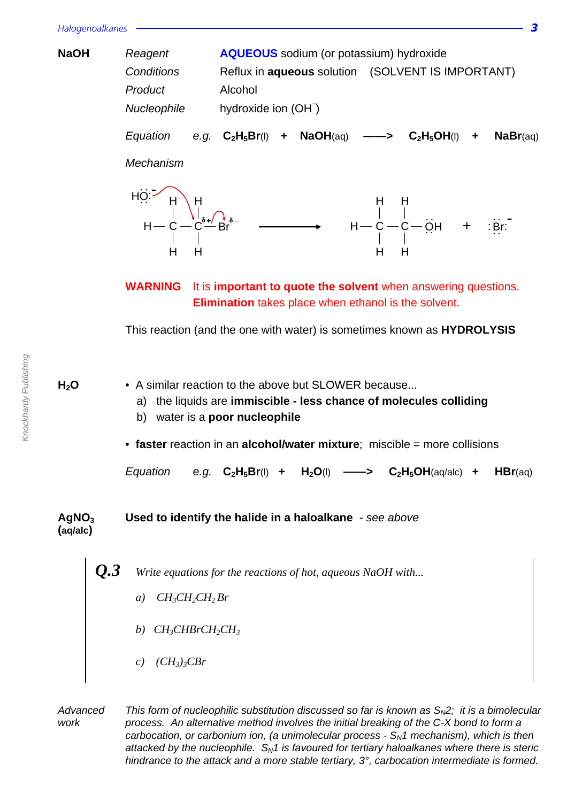| <b>NaOH</b> | Reagent<br>Conditions<br>Product<br>Nucleophile | <b>AQUEOUS</b> sodium (or potassium) hydroxide<br>Alcohol<br>hydroxide ion (OH <sup>-</sup> ) | Reflux in <b>aqueous</b> solution (SOLVENT IS IMPORTANT)                                                                               |
|-------------|-------------------------------------------------|-----------------------------------------------------------------------------------------------|----------------------------------------------------------------------------------------------------------------------------------------|
|             | Equation<br>e.g.<br>Mechanism                   | + $\mathsf{NaOH}(\mathsf{aq}) \longrightarrow$<br>$\textbf{C}_2\textbf{H}_5\textbf{Br}$ (I)   | $C_2H_5OH(1)$<br>Nabr(aq)<br>$\ddag$                                                                                                   |
|             | н<br>н                                          |                                                                                               | $H - C - C2 + C3 + C3 + C3 + C3 + C3 + C3 + C3 + C3 + C3 + C3 + C3 + C3 + C3 + C3 + C3 + C3 + C3 + C3 + C3 + C3 + C3 + C3 + C3 +$<br>н |

**WARNING** It is **important to quote the solvent** when answering questions. **Elimination** takes place when ethanol is the solvent.

This reaction (and the one with water) is sometimes known as **HYDROLYSIS**

**H<sub>2</sub>O** • A similar reaction to the above but SLOWER because...

- a) the liquids are **immiscible less chance of molecules colliding**
- b) water is a **poor nucleophile**
- **faster** reaction in an **alcohol/water mixture**; miscible = more collisions

Equation e.g.  $C_2H_5Br(1)$  +  $H_2O(1)$  ——>  $C_2H_5OH(aq/alc)$  + HBr(aq)

## **AgNO<sup>3</sup> Used to identify the halide in a haloalkane** - see above **(aq/alc)**

Write equations for the reactions of hot, aqueous NaOH with...

- *a) CH3CH2CH2 Br*
- *b) CH3CHBrCH2CH<sup>3</sup>*
- *c) (CH3)3CBr*

Advanced This form of nucleophilic substitution discussed so far is known as  $S_{N2}$ ; it is a bimolecular work process. An alternative method involves the initial breaking of the C-X bond to form a carbocation, or carbonium ion, (a unimolecular process -  $S<sub>N</sub>1$  mechanism), which is then attacked by the nucleophile.  $S_N1$  is favoured for tertiary haloalkanes where there is steric hindrance to the attack and a more stable tertiary, 3°, carbocation intermediate is formed.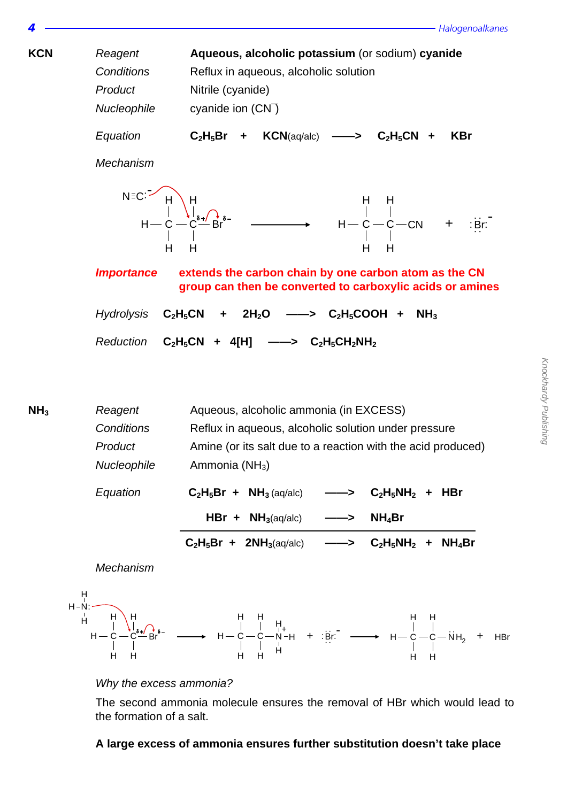$\overline{4}$   $\overline{--}$  Halogenoalkanes

Knockhardy Publishing

Knockhardy Publishing

**KCN** Reagent **Aqueous, alcoholic potassium** (or sodium) **cyanide** Conditions Reflux in aqueous, alcoholic solution Product Nitrile (cyanide) Nucleophile cyanide ion (CN¯) Equation **C2H5Br + KCN**(aq/alc) **——> C2H5CN + KBr** Mechanism **Importance extends the carbon chain by one carbon atom as the CN group can then be converted to carboxylic acids or amines**   $Hydrolysis$   $C_2H_5CN$  +  $2H_2O$  ——>  $C_2H_5COOH$  +  $NH_3$ Reduction **C2H5CN + 4[H] ——> C2H5CH2NH<sup>2</sup> NH**<sub>3</sub> Reagent Aqueous, alcoholic ammonia (in EXCESS) Conditions Reflux in aqueous, alcoholic solution under pressure H H C H H C H  $\overrightarrow{Br}$ <sup>e-</sup>  $\longrightarrow$   $H-C-C-CN$  + :Br: - H C H H  $\rm c{-}$ CN H  $N = C:$ <sup>-</sup>



H

H

H



H

H

The second ammonia molecule ensures the removal of HBr which would lead to the formation of a salt.

H

H

#### **A large excess of ammonia ensures further substitution doesn't take place**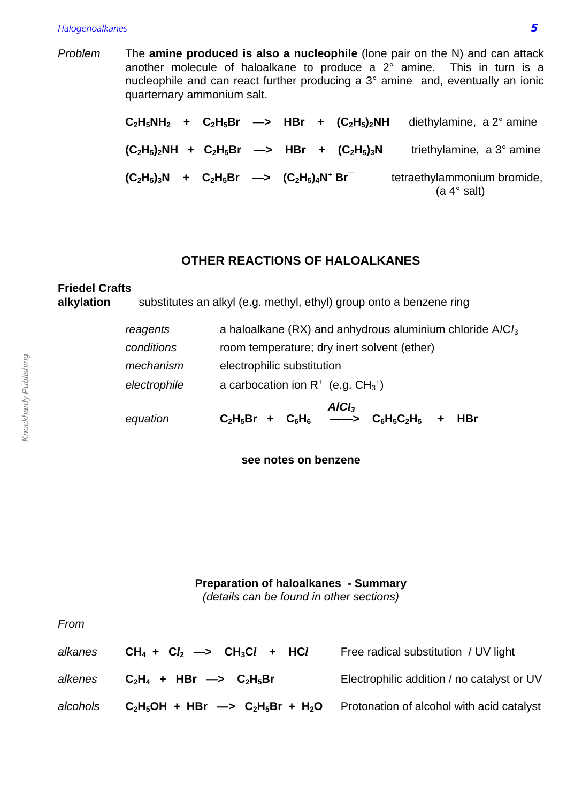#### Halogenoalkanes **5**

Problem The **amine produced is also a nucleophile** (lone pair on the N) and can attack another molecule of haloalkane to produce a 2° amine. This in turn is a nucleophile and can react further producing a 3° amine and, eventually an ionic quarternary ammonium salt.

> $C_2H_5NH_2$  +  $C_2H_5Br$   $\longrightarrow$  HBr +  $(C_2H_5)_2NH$  diethylamine, a 2° amine  $(C_2H_5)_2NH$  +  $C_2H_5Br$   $\longrightarrow$  **HBr** +  $(C_2H_5)_3N$  triethylamine, a 3° amine  $(C_2H_5)_3N$  +  $C_2H_5Br$  —>  $(C_2H_5)_4N^+$ tetraethylammonium bromide, (a 4° salt)

#### **OTHER REACTIONS OF HALOALKANES**

# **Friedel Crafts alkylation** substitutes an alkyl (e.g. methyl, ethyl) group onto a benzene ring

| equation     | $AICl_3$<br>C <sub>2</sub> H <sub>5</sub> Br + C <sub>6</sub> H <sub>6</sub> - > C <sub>6</sub> H <sub>5</sub> C <sub>2</sub> H <sub>5</sub> +<br><b>HBr</b> |  |  |
|--------------|--------------------------------------------------------------------------------------------------------------------------------------------------------------|--|--|
| electrophile | a carbocation ion $R^+$ (e.g. $CH_3^+$ )                                                                                                                     |  |  |
| mechanism    | electrophilic substitution                                                                                                                                   |  |  |
| conditions   | room temperature; dry inert solvent (ether)                                                                                                                  |  |  |
| reagents     | a haloalkane (RX) and anhydrous aluminium chloride $AlCl3$                                                                                                   |  |  |

**see notes on benzene**

#### **Preparation of haloalkanes - Summary**

(details can be found in other sections)

| alkanes  | $CH_4 + Cl_2 \longrightarrow CH_3Cl + HCl$   | Free radical substitution / UV light       |
|----------|----------------------------------------------|--------------------------------------------|
| alkenes  | $C_2H_4$ + HBr $\longrightarrow$ $C_2H_5Br$  | Electrophilic addition / no catalyst or UV |
| alcohols | $C_2H_5OH + HBr \rightarrow C_2H_5Br + H_2O$ | Protonation of alcohol with acid catalyst  |

From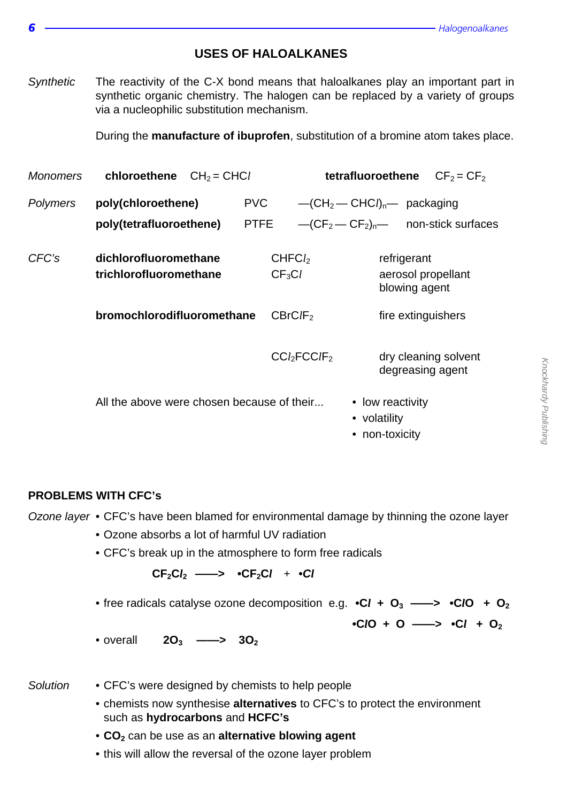### **USES OF HALOALKANES**

Synthetic The reactivity of the C-X bond means that haloalkanes play an important part in synthetic organic chemistry. The halogen can be replaced by a variety of groups via a nucleophilic substitution mechanism.

During the **manufacture of ibuprofen**, substitution of a bromine atom takes place.

| <b>Monomers</b> | chloroethene $CH_2 = CHCl$                      |                                         | tetrafluoroethene<br>$CF2 = CF2$                                |
|-----------------|-------------------------------------------------|-----------------------------------------|-----------------------------------------------------------------|
| <b>Polymers</b> | poly(chloroethene)<br>poly(tetrafluoroethene)   | PVC<br><b>PTFE</b>                      | $-CH_2 - CHCln$ packaging<br>$-(CF2 - CF2)n$ non-stick surfaces |
| CFC's           | dichlorofluoromethane<br>trichlorofluoromethane | CHFC <sub>l</sub><br>CF <sub>3</sub> Cl | refrigerant<br>aerosol propellant<br>blowing agent              |
|                 | bromochlorodifluoromethane                      | CBrClF <sub>2</sub>                     | fire extinguishers                                              |
|                 |                                                 | CCl <sub>2</sub> FCClF <sub>2</sub>     | dry cleaning solvent<br>degreasing agent                        |
|                 | All the above were chosen because of their      |                                         | • low reactivity<br>• volatility<br>• non-toxicity              |

#### **PROBLEMS WITH CFC's**

Ozone layer • CFC's have been blamed for environmental damage by thinning the ozone layer

- Ozone absorbs a lot of harmful UV radiation
- CFC's break up in the atmosphere to form free radicals

 $CF_2Cl_2 \longrightarrow \bullet CF_2Cl + \bullet Cl$ 

• free radicals catalyse ozone decomposition e.g.  $\cdot$ Cl + O<sub>3</sub> ——>  $\cdot$ ClO + O<sub>2</sub>

**•C***l***O + O ——> •C***l* **+ O<sup>2</sup>**

- overall **2O3 ——> 3O<sup>2</sup>**
- 
- Solution CFC's were designed by chemists to help people
	- chemists now synthesise **alternatives** to CFC's to protect the environment such as **hydrocarbons** and **HCFC's**
	- **CO<sup>2</sup>** can be use as an **alternative blowing agent**
	- this will allow the reversal of the ozone layer problem